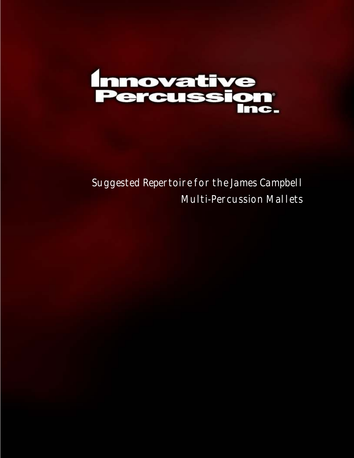

Suggested Repertoire for the James Campbell Multi-Percussion Mallets